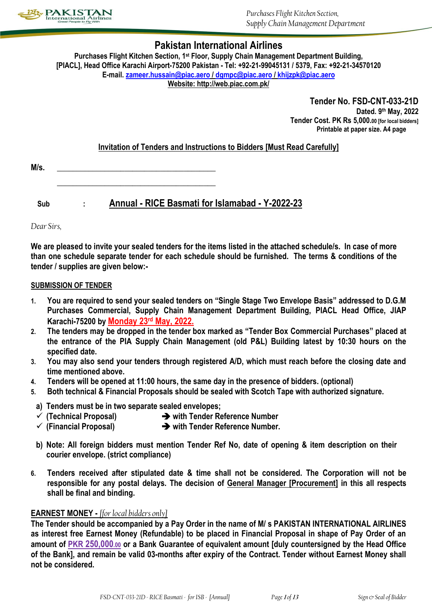

## **Pakistan International Airlines**

**Purchases Flight Kitchen Section, 1st Floor, Supply Chain Management Department Building, [PIACL], Head Office Karachi Airport-75200 Pakistan - Tel: +92-21-99045131 / 5379, Fax: +92-21-34570120 E-mail. [zameer.hussain@piac.aero](mailto:zameer.hussain@piac.aero) / [dgmpc@piac.aero](mailto:dgmpc@piac.aero) [/ khijzpk@piac.aero](mailto:khijzpk@piac.aero) Website: http://web.piac.com.pk/**

> **Tender No. FSD-CNT-033-21D Dated. 9 th May, 2022 Tender Cost. PK Rs 5,000.00 [for local bidders] Printable at paper size. A4 page**

## **Invitation of Tenders and Instructions to Bidders [Must Read Carefully]**

| M/s. |  |
|------|--|
|      |  |

**\_\_\_\_\_\_\_\_\_\_\_\_\_\_\_\_\_\_\_\_\_\_\_\_\_\_\_\_\_\_\_\_\_\_\_\_\_\_\_\_**

**Sub : Annual - RICE Basmati for Islamabad - Y-2022-23**

*Dear Sirs,*

**We are pleased to invite your sealed tenders for the items listed in the attached schedule/s. In case of more than one schedule separate tender for each schedule should be furnished. The terms & conditions of the tender / supplies are given below:-**

### **SUBMISSION OF TENDER**

- **1. You are required to send your sealed tenders on "Single Stage Two Envelope Basis" addressed to D.G.M Purchases Commercial, Supply Chain Management Department Building, PIACL Head Office, JIAP Karachi-75200 by Monday 23 rd May, 2022.**
- **2. The tenders may be dropped in the tender box marked as "Tender Box Commercial Purchases" placed at the entrance of the PIA Supply Chain Management (old P&L) Building latest by 10:30 hours on the specified date.**
- **3. You may also send your tenders through registered A/D, which must reach before the closing date and time mentioned above.**
- **4. Tenders will be opened at 11:00 hours, the same day in the presence of bidders. (optional)**
- **5. Both technical & Financial Proposals should be sealed with Scotch Tape with authorized signature.**
- **a) Tenders must be in two separate sealed envelopes;**
- **(Technical Proposal) with Tender Reference Number**
- **(Financial Proposal) with Tender Reference Number.**
- **b) Note: All foreign bidders must mention Tender Ref No, date of opening & item description on their courier envelope. (strict compliance)**
- **6. Tenders received after stipulated date & time shall not be considered. The Corporation will not be responsible for any postal delays. The decision of General Manager [Procurement] in this all respects shall be final and binding.**

## **EARNEST MONEY -** *[for local bidders only]*

**The Tender should be accompanied by a Pay Order in the name of M/ s PAKISTAN INTERNATIONAL AIRLINES as interest free Earnest Money (Refundable) to be placed in Financial Proposal in shape of Pay Order of an amount of PKR 250,000.00 or a Bank Guarantee of equivalent amount [duly countersigned by the Head Office of the Bank], and remain be valid 03-months after expiry of the Contract. Tender without Earnest Money shall not be considered.**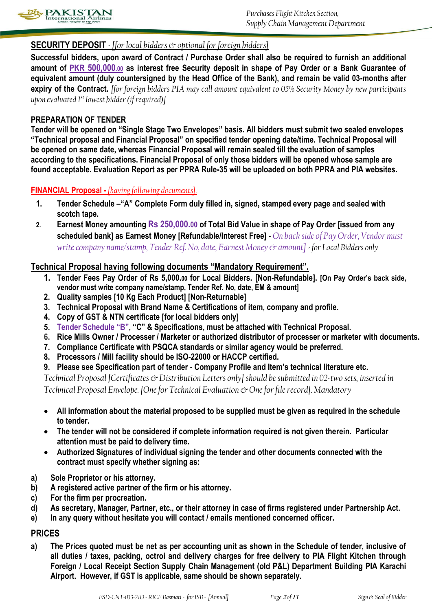

## **SECURITY DEPOSIT** *- [for local bidders & optional for foreign bidders]*

**Successful bidders, upon award of Contract / Purchase Order shall also be required to furnish an additional amount of PKR 500,000.00 as interest free Security deposit in shape of Pay Order or a Bank Guarantee of equivalent amount (duly countersigned by the Head Office of the Bank), and remain be valid 03-months after expiry of the Contract.** *[for foreign bidders PIA may call amount equivalent to 05% Security Money by new participants upon evaluated 1st lowest bidder (if required)]*

### **PREPARATION OF TENDER**

**Tender will be opened on "Single Stage Two Envelopes" basis. All bidders must submit two sealed envelopes "Technical proposal and Financial Proposal" on specified tender opening date/time. Technical Proposal will be opened on same date, whereas Financial Proposal will remain sealed till the evaluation of samples according to the specifications. Financial Proposal of only those bidders will be opened whose sample are found acceptable. Evaluation Report as per PPRA Rule-35 will be uploaded on both PPRA and PIA websites.**

## **FINANCIAL Proposal -** *[having following documents].*

- **1. Tender Schedule –"A" Complete Form duly filled in, signed, stamped every page and sealed with scotch tape.**
- **2. Earnest Money amounting Rs 250,000.00 of Total Bid Value in shape of Pay Order [issued from any scheduled bank] as Earnest Money [Refundable/Interest Free] -** *On back side of Pay Order, Vendor must write company name/stamp, Tender Ref. No, date, Earnest Money & amount] - for Local Bidders only*

## **Technical Proposal having following documents "Mandatory Requirement".**

- **1. Tender Fees Pay Order of Rs 5,000.<sup>00</sup> for Local Bidders. [Non-Refundable]. [On Pay Order's back side, vendor must write company name/stamp, Tender Ref. No, date, EM & amount]**
- **2. Quality samples [10 Kg Each Product] [Non-Returnable]**
- **3. Technical Proposal with Brand Name & Certifications of item, company and profile.**
- **4. Copy of GST & NTN certificate [for local bidders only]**
- **5. Tender Schedule "B", "C" & Specifications, must be attached with Technical Proposal.**
- **6. Rice Mills Owner / Processer / Marketer or authorized distributor of processer or marketer with documents.**
- **7. Compliance Certificate with PSQCA standards or similar agency would be preferred.**
- **8. Processors / Mill facility should be ISO-22000 or HACCP certified.**
- **9. Please see Specification part of tender - Company Profile and Item's technical literature etc.**

*Technical Proposal [Certificates & Distribution Letters only] should be submitted in 02-two sets, inserted in Technical Proposal Envelope. [One for Technical Evaluation*  $\infty$  *One for file record]. Mandatory* 

- **All information about the material proposed to be supplied must be given as required in the schedule to tender.**
- **The tender will not be considered if complete information required is not given therein. Particular attention must be paid to delivery time.**
- **Authorized Signatures of individual signing the tender and other documents connected with the contract must specify whether signing as:**
- **a) Sole Proprietor or his attorney.**
- **b) A registered active partner of the firm or his attorney.**
- **c) For the firm per procreation.**
- **d) As secretary, Manager, Partner, etc., or their attorney in case of firms registered under Partnership Act.**
- **e) In any query without hesitate you will contact / emails mentioned concerned officer.**

## **PRICES**

**a) The Prices quoted must be net as per accounting unit as shown in the Schedule of tender, inclusive of all duties / taxes, packing, octroi and delivery charges for free delivery to PIA Flight Kitchen through Foreign / Local Receipt Section Supply Chain Management (old P&L) Department Building PIA Karachi Airport. However, if GST is applicable, same should be shown separately.**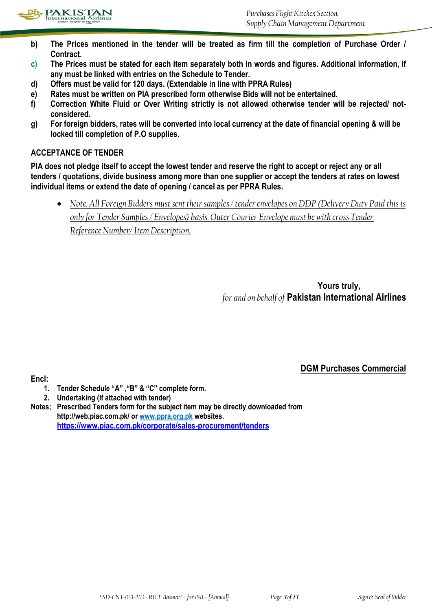

- **b) The Prices mentioned in the tender will be treated as firm till the completion of Purchase Order / Contract.**
- **c) The Prices must be stated for each item separately both in words and figures. Additional information, if any must be linked with entries on the Schedule to Tender.**
- **d) Offers must be valid for 120 days. (Extendable in line with PPRA Rules)**
- **e) Rates must be written on PIA prescribed form otherwise Bids will not be entertained.**
- **f) Correction White Fluid or Over Writing strictly is not allowed otherwise tender will be rejected/ notconsidered.**
- **g) For foreign bidders, rates will be converted into local currency at the date of financial opening & will be locked till completion of P.O supplies.**

## **ACCEPTANCE OF TENDER**

**PIA does not pledge itself to accept the lowest tender and reserve the right to accept or reject any or all tenders / quotations, divide business among more than one supplier or accept the tenders at rates on lowest individual items or extend the date of opening / cancel as per PPRA Rules.**

 *Note. All Foreign Bidders must sent their samples / tender envelopes on DDP (Delivery Duty Paid this is only for Tender Samples / Envelopes) basis. Outer Courier Envelope must be with cross Tender Reference Number/ Item Description.*

> **Yours truly,** *for and on behalf of* **Pakistan International Airlines**

> > **DGM Purchases Commercial**

- **1. Tender Schedule "A" ,"B" & "C" complete form.**
- **2. Undertaking (If attached with tender)**

**Encl:** 

**Notes; Prescribed Tenders form for the subject item may be directly downloaded from http://web.piac.com.pk/ or www.ppra.org.pk websites. <https://www.piac.com.pk/corporate/sales-procurement/tenders>**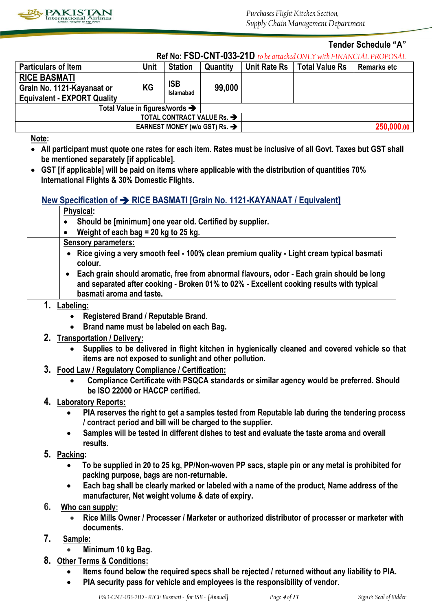

### **Tender Schedule "A"**

|  | <b>Ref No: FSD-CNT-033-21D</b> to be attached ONLY with FINANCIAL PROPOSAL |
|--|----------------------------------------------------------------------------|
|--|----------------------------------------------------------------------------|

| INGLINU. LOD-ON L-000-ZTD to be attached ONET WITH TINANGLAL ENOTOGAL |           |                         |          |                     |                       |                    |
|-----------------------------------------------------------------------|-----------|-------------------------|----------|---------------------|-----------------------|--------------------|
| <b>Particulars of Item</b>                                            | Unit      | <b>Station</b>          | Quantity | <b>Unit Rate Rs</b> | <b>Total Value Rs</b> | <b>Remarks etc</b> |
| <b>RICE BASMATI</b>                                                   |           |                         |          |                     |                       |                    |
| Grain No. 1121-Kayanaat or                                            | <b>KG</b> | ISB<br><b>Islamabad</b> | 99,000   |                     |                       |                    |
| <b>Equivalent - EXPORT Quality</b>                                    |           |                         |          |                     |                       |                    |
| Total Value in figures/words $\rightarrow$                            |           |                         |          |                     |                       |                    |
| TOTAL CONTRACT VALUE Rs. →                                            |           |                         |          |                     |                       |                    |
| EARNEST MONEY (w/o GST) Rs. $\rightarrow$                             |           |                         |          |                     |                       | 250,000.00         |
|                                                                       |           |                         |          |                     |                       |                    |

**Note:** 

- **All participant must quote one rates for each item. Rates must be inclusive of all Govt. Taxes but GST shall be mentioned separately [if applicable].**
- **GST [if applicable] will be paid on items where applicable with the distribution of quantities 70% International Flights & 30% Domestic Flights.**

## **New Specification of**  $\rightarrow$  **RICE BASMATI [Grain No. 1121-KAYANAAT / Fquivalent]**

| <b>Physical:</b>                                                                                                                                                                                                               |  |
|--------------------------------------------------------------------------------------------------------------------------------------------------------------------------------------------------------------------------------|--|
| Should be [minimum] one year old. Certified by supplier.<br>$\bullet$                                                                                                                                                          |  |
| Weight of each bag = 20 kg to 25 kg.<br>$\bullet$                                                                                                                                                                              |  |
| <b>Sensory parameters:</b>                                                                                                                                                                                                     |  |
| • Rice giving a very smooth feel - 100% clean premium quality - Light cream typical basmati<br>colour.                                                                                                                         |  |
| Each grain should aromatic, free from abnormal flavours, odor - Each grain should be long<br>$\bullet$<br>and separated after cooking - Broken 01% to 02% - Excellent cooking results with typical<br>basmati aroma and taste. |  |
|                                                                                                                                                                                                                                |  |

- **1. Labeling:** 
	- **Registered Brand / Reputable Brand.**
	- **Brand name must be labeled on each Bag.**
- **2. Transportation / Delivery:**
	- **Supplies to be delivered in flight kitchen in hygienically cleaned and covered vehicle so that items are not exposed to sunlight and other pollution.**
- **3. Food Law / Regulatory Compliance / Certification:** 
	- **Compliance Certificate with PSQCA standards or similar agency would be preferred. Should be ISO 22000 or HACCP certified.**
- **4. Laboratory Reports:** 
	- **PIA reserves the right to get a samples tested from Reputable lab during the tendering process / contract period and bill will be charged to the supplier.**
	- **Samples will be tested in different dishes to test and evaluate the taste aroma and overall results.**
- **5. Packing:** 
	- **To be supplied in 20 to 25 kg, PP/Non-woven PP sacs, staple pin or any metal is prohibited for packing purpose, bags are non-returnable.**
	- **Each bag shall be clearly marked or labeled with a name of the product, Name address of the manufacturer, Net weight volume & date of expiry.**
- **6. Who can supply:**
	- **Rice Mills Owner / Processer / Marketer or authorized distributor of processer or marketer with documents.**
- **7. Sample:** 
	- **Minimum 10 kg Bag.**
- **8. Other Terms & Conditions:**
	- **Items found below the required specs shall be rejected / returned without any liability to PIA.**
	- **PIA security pass for vehicle and employees is the responsibility of vendor.**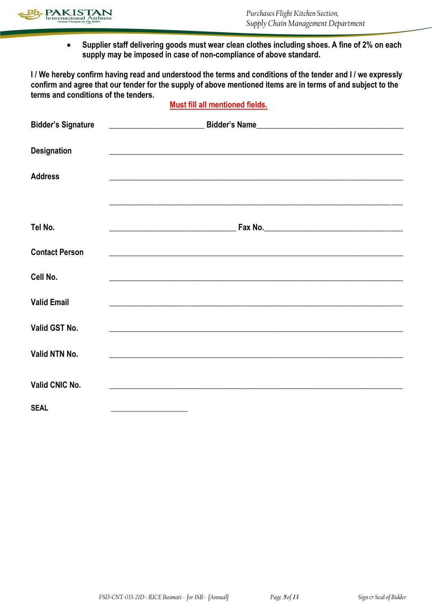

 **Supplier staff delivering goods must wear clean clothes including shoes. A fine of 2% on each supply may be imposed in case of non-compliance of above standard.**

**I / We hereby confirm having read and understood the terms and conditions of the tender and I / we expressly confirm and agree that our tender for the supply of above mentioned items are in terms of and subject to the terms and conditions of the tenders.** 

## **Must fill all mentioned fields.**

| <b>Bidder's Signature</b> |                                                                                                                       |
|---------------------------|-----------------------------------------------------------------------------------------------------------------------|
| <b>Designation</b>        | <u> 1989 - Johann Stoff, amerikansk politiker (d. 1989)</u>                                                           |
| <b>Address</b>            | <u> 1989 - Johann Stoff, amerikan bestein de stad in de stad in de stad in de stad in de stad in de stad in de st</u> |
| Tel No.                   | ,我们也不能在这里的时候,我们也不能在这里的时候,我们也不能在这里的时候,我们也不能会在这里的时候,我们也不能会在这里的时候,我们也不能会在这里的时候,我们也不能                                     |
|                           |                                                                                                                       |
| <b>Contact Person</b>     | <u> 1989 - Johann Stoff, deutscher Stoff, der Stoff, der Stoff, der Stoff, der Stoff, der Stoff, der Stoff, der S</u> |
| Cell No.                  | <u> 1989 - Johann Stoff, amerikansk politiker (d. 1989)</u>                                                           |
| <b>Valid Email</b>        | <u> 1989 - Johann Stoff, amerikansk politiker (d. 1989)</u>                                                           |
| Valid GST No.             | <u> 1989 - Johann John Stone, markin sanat masjid ayyı bir alan bir alan bir alan bir alan bir alan bir alan bir</u>  |
| Valid NTN No.             |                                                                                                                       |
| Valid CNIC No.            | <u> 1989 - Johann John Stone, Amerikaansk politiker (* 1908)</u>                                                      |
| <b>SEAL</b>               | <u> 1980 - Andrea Aonaich, ann an t-Aonaich an t-Aonaich an t-Aonaich ann an t-Aonaich ann an t-Aonaich ann an t-</u> |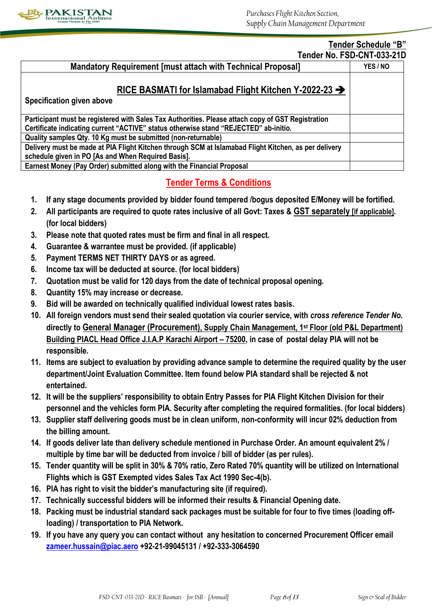

#### **Tender Schedule "B" Tender No. FSD-CNT-033-21D**

|                                                                                                      | TEINEL NU. FOD-GN FUJJ-Z IL |  |
|------------------------------------------------------------------------------------------------------|-----------------------------|--|
| <b>Mandatory Requirement [must attach with Technical Proposal]</b>                                   |                             |  |
|                                                                                                      |                             |  |
| RICE BASMATI for Islamabad Flight Kitchen Y-2022-23 $\rightarrow$                                    |                             |  |
| Specification given above                                                                            |                             |  |
| Participant must be registered with Sales Tax Authorities. Please attach copy of GST Registration    |                             |  |
| Certificate indicating current "ACTIVE" status otherwise stand "REJECTED" ab-initio.                 |                             |  |
| Quality samples Qty. 10 Kg must be submitted (non-returnable)                                        |                             |  |
| Delivery must be made at PIA Flight Kitchen through SCM at Islamabad Flight Kitchen, as per delivery |                             |  |
| schedule given in PO [As and When Required Basis].                                                   |                             |  |
| Earnest Money (Pay Order) submitted along with the Financial Proposal                                |                             |  |

## **Tender Terms & Conditions**

- **1. If any stage documents provided by bidder found tempered /bogus deposited E/Money will be fortified.**
- **2. All participants are required to quote rates inclusive of all Govt: Taxes & GST separately [if applicable]. (for local bidders)**
- **3. Please note that quoted rates must be firm and final in all respect.**
- **4. Guarantee & warrantee must be provided. (if applicable)**
- **5. Payment TERMS NET THIRTY DAYS or as agreed.**
- **6. Income tax will be deducted at source. (for local bidders)**
- **7. Quotation must be valid for 120 days from the date of technical proposal opening.**
- **8. Quantity 15% may increase or decrease.**
- **9. Bid will be awarded on technically qualified individual lowest rates basis.**
- **10. All foreign vendors must send their sealed quotation via courier service, with** *cross reference Tender No.* **directly to General Manager (Procurement), Supply Chain Management, 1st Floor (old P&L Department) Building PIACL Head Office J.I.A.P Karachi Airport – 75200, in case of postal delay PIA will not be responsible.**
- **11. Items are subject to evaluation by providing advance sample to determine the required quality by the user department/Joint Evaluation Committee. Item found below PIA standard shall be rejected & not entertained.**
- **12. It will be the suppliers' responsibility to obtain Entry Passes for PIA Flight Kitchen Division for their personnel and the vehicles form PIA. Security after completing the required formalities. (for local bidders)**
- **13. Supplier staff delivering goods must be in clean uniform, non-conformity will incur 02% deduction from the billing amount.**
- **14. If goods deliver late than delivery schedule mentioned in Purchase Order. An amount equivalent 2% / multiple by time bar will be deducted from invoice / bill of bidder (as per rules).**
- **15. Tender quantity will be split in 30% & 70% ratio, Zero Rated 70% quantity will be utilized on International Flights which is GST Exempted vides Sales Tax Act 1990 Sec-4(b).**
- **16. PIA has right to visit the bidder's manufacturing site (if required).**
- **17. Technically successful bidders will be informed their results & Financial Opening date.**
- **18. Packing must be industrial standard sack packages must be suitable for four to five times (loading offloading) / transportation to PIA Network.**
- **19. If you have any query you can contact without any hesitation to concerned Procurement Officer email [zameer.hussain@piac.aero](mailto:zameer.hussain@piac.aero) +92-21-99045131 / +92-333-3064590**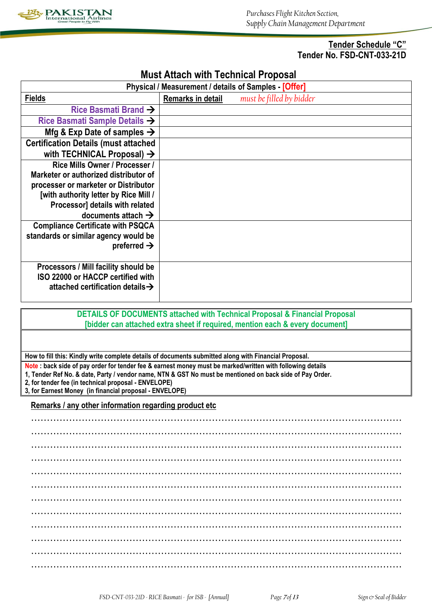

## **Tender Schedule "C" Tender No. FSD-CNT-033-21D**

## **Must Attach with Technical Proposal**

| Physical / Measurement / details of Samples [Offer] |                   |                          |  |  |
|-----------------------------------------------------|-------------------|--------------------------|--|--|
| <b>Fields</b>                                       | Remarks in detail | must be filled by bidder |  |  |
| Rice Basmati Brand $\rightarrow$                    |                   |                          |  |  |
| Rice Basmati Sample Details $\rightarrow$           |                   |                          |  |  |
| Mfg & Exp Date of samples $\rightarrow$             |                   |                          |  |  |
| <b>Certification Details (must attached</b>         |                   |                          |  |  |
| with TECHNICAL Proposal) $\rightarrow$              |                   |                          |  |  |
| Rice Mills Owner / Processer /                      |                   |                          |  |  |
| Marketer or authorized distributor of               |                   |                          |  |  |
| processer or marketer or Distributor                |                   |                          |  |  |
| [with authority letter by Rice Mill /               |                   |                          |  |  |
| Processor] details with related                     |                   |                          |  |  |
| documents attach $\rightarrow$                      |                   |                          |  |  |
| <b>Compliance Certificate with PSQCA</b>            |                   |                          |  |  |
| standards or similar agency would be                |                   |                          |  |  |
| preferred $\rightarrow$                             |                   |                          |  |  |
|                                                     |                   |                          |  |  |
| Processors / Mill facility should be                |                   |                          |  |  |
| ISO 22000 or HACCP certified with                   |                   |                          |  |  |
| attached certification details $\rightarrow$        |                   |                          |  |  |
|                                                     |                   |                          |  |  |

### **DETAILS OF DOCUMENTS attached with Technical Proposal & Financial Proposal [bidder can attached extra sheet if required, mention each & every document]**

**How to fill this: Kindly write complete details of documents submitted along with Financial Proposal.**

**Note : back side of pay order for tender fee & earnest money must be marked/written with following details**

**1, Tender Ref No. & date, Party / vendor name, NTN & GST No must be mentioned on back side of Pay Order.**

**2, for tender fee (in technical proposal - ENVELOPE) 3, for Earnest Money (in financial proposal - ENVELOPE)**

**Remarks / any other information regarding product etc**

……………………………………………………………………………………………………… ……………………………………………………………………………………………………… ……………………………………………………………………………………………………… ……………………………………………………………………………………………………… ……………………………………………………………………………………………………… ……………………………………………………………………………………………………… ……………………………………………………………………………………………………… ……………………………………………………………………………………………………… ……………………………………………………………………………………………………… ……………………………………………………………………………………………………… ……………………………………………………………………………………………………… ………………………………………………………………………………………………………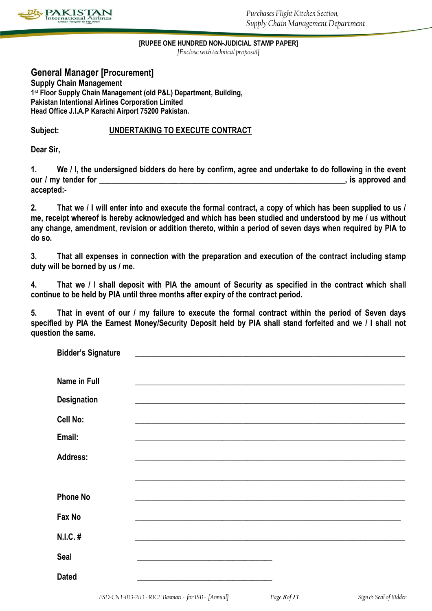

**[RUPEE ONE HUNDRED NON-JUDICIAL STAMP PAPER]**

*[Enclose with technical proposal]*

## **General Manager [Procurement]**

**Supply Chain Management 1 st Floor Supply Chain Management (old P&L) Department, Building, Pakistan Intentional Airlines Corporation Limited Head Office J.I.A.P Karachi Airport 75200 Pakistan.**

## **Subject: UNDERTAKING TO EXECUTE CONTRACT**

**Dear Sir,**

**1. We / I, the undersigned bidders do here by confirm, agree and undertake to do following in the event our / my tender for \_\_\_\_\_\_\_\_\_\_\_\_\_\_\_\_\_\_\_\_\_\_\_\_\_\_\_\_\_\_\_\_\_\_\_\_\_\_\_\_\_\_\_\_\_\_\_\_\_\_\_\_\_\_\_\_\_\_\_\_\_\_, is approved and accepted:-**

**2. That we / I will enter into and execute the formal contract, a copy of which has been supplied to us / me, receipt whereof is hereby acknowledged and which has been studied and understood by me / us without any change, amendment, revision or addition thereto, within a period of seven days when required by PIA to do so.**

**3. That all expenses in connection with the preparation and execution of the contract including stamp duty will be borned by us / me.**

**4. That we / I shall deposit with PIA the amount of Security as specified in the contract which shall continue to be held by PIA until three months after expiry of the contract period.**

**5. That in event of our / my failure to execute the formal contract within the period of Seven days specified by PIA the Earnest Money/Security Deposit held by PIA shall stand forfeited and we / I shall not question the same.**

| <b>Bidder's Signature</b> | <u> 1980 - Johann John Stone, mars eta berriaren 1980 - Johann Stone, marraren 1980 - Johann Stone, marraren 1980</u>                                                                                                                |  |
|---------------------------|--------------------------------------------------------------------------------------------------------------------------------------------------------------------------------------------------------------------------------------|--|
| <b>Name in Full</b>       | <u> 1989 - Johann John Stoff, deutscher Stoffen und der Stoffen und der Stoffen und der Stoffen und der Stoffen</u>                                                                                                                  |  |
| <b>Designation</b>        | the control of the control of the control of the control of the control of the control of                                                                                                                                            |  |
| Cell No:                  |                                                                                                                                                                                                                                      |  |
| Email:                    |                                                                                                                                                                                                                                      |  |
| <b>Address:</b>           |                                                                                                                                                                                                                                      |  |
|                           |                                                                                                                                                                                                                                      |  |
| <b>Phone No</b>           |                                                                                                                                                                                                                                      |  |
| Fax No                    |                                                                                                                                                                                                                                      |  |
| N.I.C. #                  |                                                                                                                                                                                                                                      |  |
| <b>Seal</b>               | <u> 1980 - Johann Harry Harry Harry Harry Harry Harry Harry Harry Harry Harry Harry Harry Harry Harry Harry Harry Harry Harry Harry Harry Harry Harry Harry Harry Harry Harry Harry Harry Harry Harry Harry Harry Harry Harry Ha</u> |  |
| <b>Dated</b>              | the control of the control of the control of the control of the control of the control of                                                                                                                                            |  |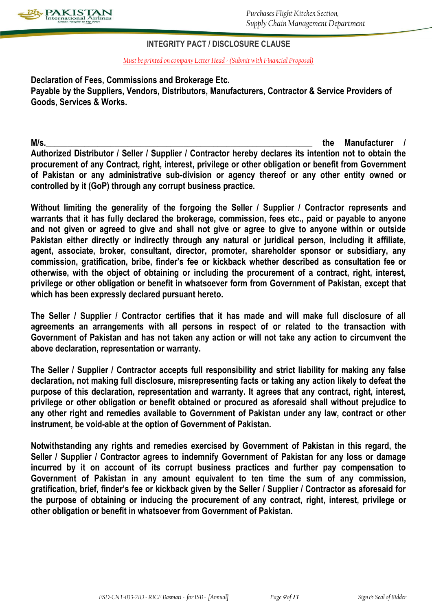

## **INTEGRITY PACT / DISCLOSURE CLAUSE**

*Must be printed on company Letter Head - (Submit with Financial Proposal)*

**Declaration of Fees, Commissions and Brokerage Etc. Payable by the Suppliers, Vendors, Distributors, Manufacturers, Contractor & Service Providers of Goods, Services & Works.**

**M/s.\_\_\_\_\_\_\_\_\_\_\_\_\_\_\_\_\_\_\_\_\_\_\_\_\_\_\_\_\_\_\_\_\_\_\_\_\_\_\_\_\_\_\_\_\_\_\_\_\_\_\_\_\_\_\_\_\_\_\_\_\_\_ the Manufacturer / Authorized Distributor / Seller / Supplier / Contractor hereby declares its intention not to obtain the procurement of any Contract, right, interest, privilege or other obligation or benefit from Government of Pakistan or any administrative sub-division or agency thereof or any other entity owned or controlled by it (GoP) through any corrupt business practice.**

**Without limiting the generality of the forgoing the Seller / Supplier / Contractor represents and warrants that it has fully declared the brokerage, commission, fees etc., paid or payable to anyone and not given or agreed to give and shall not give or agree to give to anyone within or outside Pakistan either directly or indirectly through any natural or juridical person, including it affiliate, agent, associate, broker, consultant, director, promoter, shareholder sponsor or subsidiary, any commission, gratification, bribe, finder's fee or kickback whether described as consultation fee or otherwise, with the object of obtaining or including the procurement of a contract, right, interest, privilege or other obligation or benefit in whatsoever form from Government of Pakistan, except that which has been expressly declared pursuant hereto.**

**The Seller / Supplier / Contractor certifies that it has made and will make full disclosure of all agreements an arrangements with all persons in respect of or related to the transaction with Government of Pakistan and has not taken any action or will not take any action to circumvent the above declaration, representation or warranty.**

**The Seller / Supplier / Contractor accepts full responsibility and strict liability for making any false declaration, not making full disclosure, misrepresenting facts or taking any action likely to defeat the purpose of this declaration, representation and warranty. It agrees that any contract, right, interest, privilege or other obligation or benefit obtained or procured as aforesaid shall without prejudice to any other right and remedies available to Government of Pakistan under any law, contract or other instrument, be void-able at the option of Government of Pakistan.**

**Notwithstanding any rights and remedies exercised by Government of Pakistan in this regard, the Seller / Supplier / Contractor agrees to indemnify Government of Pakistan for any loss or damage incurred by it on account of its corrupt business practices and further pay compensation to Government of Pakistan in any amount equivalent to ten time the sum of any commission, gratification, brief, finder's fee or kickback given by the Seller / Supplier / Contractor as aforesaid for the purpose of obtaining or inducing the procurement of any contract, right, interest, privilege or other obligation or benefit in whatsoever from Government of Pakistan.**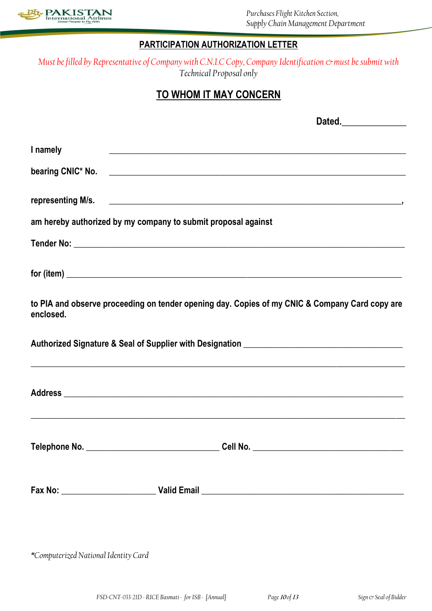

## **PARTICIPATION AUTHORIZATION LETTER**

*Must be filled by Representative of Company with C.N.I.C Copy, Company Identification*  $\infty$  must be submit with *Technical Proposal only*

# **TO WHOM IT MAY CONCERN**

| I namely                                                                                                    |  |
|-------------------------------------------------------------------------------------------------------------|--|
|                                                                                                             |  |
|                                                                                                             |  |
|                                                                                                             |  |
|                                                                                                             |  |
| am hereby authorized by my company to submit proposal against                                               |  |
|                                                                                                             |  |
|                                                                                                             |  |
| to PIA and observe proceeding on tender opening day. Copies of my CNIC & Company Card copy are<br>enclosed. |  |
| ,我们也不能在这里的时候,我们也不能在这里的时候,我们也不能会在这里,我们也不能会不能会不能会不能会不能会不能会。""我们,我们也不能会不能会不能会不能会不能会                            |  |
|                                                                                                             |  |
|                                                                                                             |  |
|                                                                                                             |  |
|                                                                                                             |  |

*\*Computerized National Identity Card*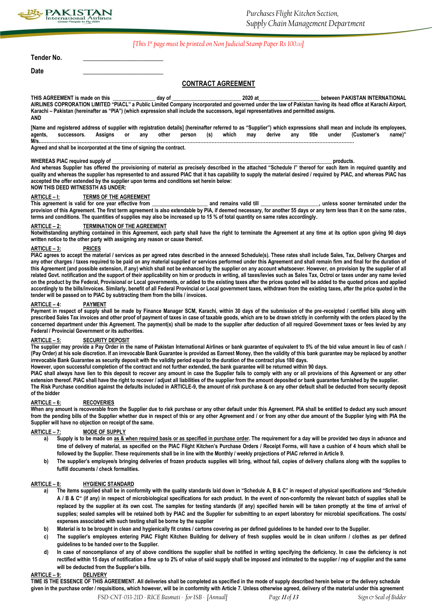

#### *[This 1st page must be printed on Non Judicial Stamp Paper Rs 100.00]*

**Tender No. \_\_\_\_\_\_\_\_\_\_\_\_\_\_\_\_\_\_\_\_\_\_**

**Date \_\_\_\_\_\_\_\_\_\_\_\_\_\_\_\_\_\_\_\_\_\_**

### **CONTRACT AGREEMENT**

**THIS AGREEMENT is made on this \_\_\_\_\_\_\_\_\_\_\_\_\_\_\_\_ day of \_\_\_\_\_\_\_\_\_\_\_\_\_\_\_\_\_\_\_\_\_\_\_\_\_\_ 2020 at\_\_\_\_\_\_\_\_\_\_\_\_\_\_\_\_\_\_\_\_\_\_\_ between PAKISTAN INTERNATIONAL**  AIRLINES COPRORATION LIMITED "PIACL" a Public Limited Company incorporated and governed under the law of Pakistan having its head office at Karachi Airport, **Karachi – Pakistan (hereinafter as "PIA") (which expression shall include the successors, legal representatives and permitted assigns. AND**

**[Name and registered address of supplier with registration details] (hereinafter referred to as "Supplier") which expressions shall mean and include its employees, agents, successors. Assigns or any other person (s) which may derive any title under (Customer's name)" M/s.………………………………………………………………………………………………………………………………………………………………………………** 

**Agreed and shall be incorporated at the time of signing the contract.**

#### WHEREAS PIAC required supply of **and a structure of the structure of the structure of the structure of the structure of the structure of the structure of the structure of the structure of the structure of the structure of**

**And whereas Supplier has offered the provisioning of material as precisely described in the attached "Schedule I" thereof for each item in required quantity and quality and whereas the supplier has represented to and assured PIAC that it has capability to supply the material desired / required by PIAC, and whereas PIAC has accepted the offer extended by the supplier upon terms and conditions set herein below: NOW THIS DEED WITNESSTH AS UNDER:**

#### **ARTICLE – I: TERMS OF THE AGREEMENT**

This agreement is valid for one year effective from **a** and remains valid till **the soune is some and remains valid till** the souner terminated under the provision of this Agreement. The first term agreement is also extendable by PIA, if deemed necessary, for another 55 days or any term less than it on the same rates, **terms and conditions. The quantities of supplies may also be increased up to 15 % of total quantity on same rates accordingly.** 

#### **ARTICLE – 2: TERMINATION OF THE AGREEMENT**

**Notwithstanding anything contained in this Agreement, each party shall have the right to terminate the Agreement at any time at its option upon giving 90 days written notice to the other party with assigning any reason or cause thereof.**

#### **ARTICLE – 3: PRICES**

**PIAC agrees to accept the material / services as per agreed rates described in the annexed Schedule(s). These rates shall include Sales, Tax, Delivery Charges and any other charges / taxes required to be paid on any material supplied or services performed under this Agreement and shall remain firm and final for the duration of this Agreement (and possible extension, if any) which shall not be enhanced by the supplier on any account whatsoever. However, on provision by the supplier of all related Govt. notification and the support of their applicability on him or products in writing, all taxes/levies such as Sales Tax, Octroi or taxes under any name levied on the product by the Federal, Provisional or Local governments, or added to the existing taxes after the prices quoted will be added to the quoted prices and applied accordingly to the bills/invoices. Similarly, benefit of all Federal Provincial or Local government taxes, withdrawn from the existing taxes, after the price quoted in the tender will be passed on to PIAC by subtracting them from the bills / invoices.**

#### **PAYMENT**

Payment in respect of supply shall be made by Finance Manager SCM, Karachi, within 30 days of the submission of the pre-receipted / certified bills along with **prescribed Sales Tax invoices and other proof of payment of taxes in case of taxable goods, which are to be drawn strictly in conformity with the orders placed by the concerned department under this Agreement. The payment(s) shall be made to the supplier after deduction of all required Government taxes or fees levied by any Federal / Provincial Government or its authorities.**

#### **ARTICLE – 5: SECURITY DEPOSIT**

**The supplier may provide a Pay Order in the name of Pakistan International Airlines or bank guarantee of equivalent to 5% of the bid value amount in lieu of cash / (Pay Order) at his sole discretion. If an irrevocable Bank Guarantee is provided as Earnest Money, then the validity of this bank guarantee may be replaced by another irrevocable Bank Guarantee as security deposit with the validity period equal to the duration of the contract plus 180 days.**

**However, upon successful completion of the contract and not further extended, the bank guarantee will be returned within 90 days.**

PIAC shall always have lien to this deposit to recover any amount in case the Supplier fails to comply with any or all provisions of this Agreement or any other **extension thereof. PIAC shall have the right to recover / adjust all liabilities of the supplier from the amount deposited or bank guarantee furnished by the supplier.**

**The Risk Purchase condition against the defaults included in ARTICLE-9, the amount of risk purchase & on any other default shall be deducted from security deposit of the bidder** 

#### **ARTICLE – 6: RECOVERIES**

**When any amount is recoverable from the Supplier due to risk purchase or any other default under this Agreement. PIA shall be entitled to deduct any such amount from the pending bills of the Supplier whether due in respect of this or any other Agreement and / or from any other due amount of the Supplier lying with PIA the Supplier will have no objection on receipt of the same.**

#### **ARTICLE – 7: MODE OF SUPPLY**

- **a) Supply is to be made on as & when required basis or as specified in purchase order. The requirement for a day will be provided two days in advance and time of delivery of material, as specified on the PIAC Flight Kitchen's Purchase Orders / Receipt Forms, will have a cushion of 4 hours which shall be followed by the Supplier. These requirements shall be in line with the Monthly / weekly projections of PIAC referred in Article 9.**
- **b) The supplier's employee/s bringing deliveries of frozen products supplies will bring, without fail, copies of delivery challans along with the supplies to fulfill documents / check formalities.**

#### **ARTICLE – 8: HYGIENIC STANDARD**

- **a) The items supplied shall be in conformity with the quality standards laid down in "Schedule A, B & C" in respect of physical specifications and "Schedule A / B & C" (if any) in respect of microbiological specifications for each product. In the event of non-conformity the relevant batch of supplies shall be**  replaced by the supplier at its own cost. The samples for testing standards (if any) specified herein will be taken promptly at the time of arrival of **supplies; sealed samples will be retained both by PIAC and the Supplier for submitting to an expert laboratory for microbial specifications. The costs/ expenses associated with such testing shall be borne by the supplier**
- **b) Material is to be brought in clean and hygienically fit crates / cartons covering as per defined guidelines to be handed over to the Supplier.**
- **c) The supplier's employees entering PIAC Flight Kitchen Building for delivery of fresh supplies would be in clean uniform / clothes as per defined guidelines to be handed over to the Supplier.**
- **d) In case of noncompliance of any of above conditions the supplier shall be notified in writing specifying the deficiency. In case the deficiency is not rectified within 15 days of notification a fine up to 2% of value of said supply shall be imposed and intimated to the supplier / rep of supplier and the same will be deducted from the Supplier's bills.**

#### **ARTICLE – 9: DELIVERY**

**TIME IS THE ESSENCE OF THIS AGREEMENT. All deliveries shall be completed as specified in the mode of supply described herein below or the delivery schedule given in the purchase order / requisitions, which however, will be in conformity with Article 7. Unless otherwise agreed, delivery of the material under this agreement**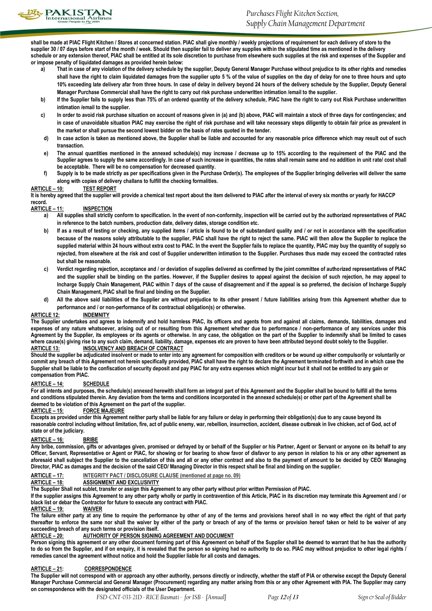

**shall be made at PIAC Flight Kitchen / Stores at concerned station. PIAC shall give monthly / weekly projections of requirement for each delivery of store to the supplier 30 / 07 days before start of the month / week. Should then supplier fail to deliver any supplies within the stipulated time as mentioned in the delivery**  schedule or any extension thereof, PIAC shall be entitled at its sole discretion to purchase from elsewhere such supplies at the risk and expenses of the Supplier and **or impose penalty of liquidated damages as provided herein below:**

- **a) That in case of any violation of the delivery schedule by the supplier, Deputy General Manager Purchase without prejudice to its other rights and remedies shall have the right to claim liquidated damages from the supplier upto 5 % of the value of supplies on the day of delay for one to three hours and upto 10% exceeding late delivery afar from three hours. In case of delay in delivery beyond 24 hours of the delivery schedule by the Supplier, Deputy General Manager Purchase Commercial shall have the right to carry out risk purchase underwritten intimation /email to the supplier.**
- **b) If the Supplier fails to supply less than 75% of an ordered quantity of the delivery schedule, PIAC have the right to carry out Risk Purchase underwritten intimation /email to the supplier.**
- **c) In order to avoid risk purchase situation on account of reasons given in (a) and (b) above, PIAC will maintain a stock of three days for contingencies; and in case of unavoidable situation PIAC may exercise the right of risk purchase and will take necessary steps diligently to obtain fair price as prevalent in the market or shall pursue the second lowest bidder on the basis of rates quoted in the tender.**
- **d) In case action is taken as mentioned above, the Supplier shall be liable and accounted for any reasonable price difference which may result out of such transaction.**
- **e) The annual quantities mentioned in the annexed schedule(s) may increase / decrease up to 15% according to the requirement of the PIAC and the Supplier agrees to supply the same accordingly. In case of such increase in quantities, the rates shall remain same and no addition in unit rate/ cost shall be acceptable. There will be no compensation for decreased quantity.**
- **f) Supply is to be made strictly as per specifications given in the Purchase Order(s). The employees of the Supplier bringing deliveries will deliver the same along with copies of delivery challans to fulfill the checking formalities.**

#### **ARTICLE – 10: TEST REPORT**

**It is hereby agreed that the supplier will provide a chemical test report about the item delivered to PIAC after the interval of every six months or yearly for HACCP record.**

#### **ARTICLE – 11: INSPECTION**

- **a) All supplies shall strictly conform to specification. In the event of non-conformity, inspection will be carried out by the authorized representatives of PIAC in reference to the batch numbers, production date, delivery dates, storage condition etc.**
- **b) If as a result of testing or checking, any supplied items / article is found to be of substandard quality and / or not in accordance with the specification because of the reasons solely attributable to the supplier, PIAC shall have the right to reject the same. PIAC will then allow the Supplier to replace the supplied material within 24 hours without extra cost to PIAC. In the event the Supplier fails to replace the quantity, PIAC may buy the quantity of supply so rejected, from elsewhere at the risk and cost of Supplier underwritten intimation to the Supplier. Purchases thus made may exceed the contracted rates but shall be reasonable.**
- **c) Verdict regarding rejection, acceptance and / or deviation of supplies delivered as confirmed by the joint committee of authorized representatives of PIAC and the supplier shall be binding on the parties. However, if the Supplier desires to appeal against the decision of such rejection, he may appeal to Incharge Supply Chain Management, PIAC within 7 days of the cause of disagreement and if the appeal is so preferred, the decision of Incharge Supply Chain Management, PIAC shall be final and binding on the Supplier.**
- **d) All the above said liabilities of the Supplier are without prejudice to its other present / future liabilities arising from this Agreement whether due to performance and / or non-performance of its contractual obligation(s) or otherwise.**

#### **ARTICLE 12: INDEMNITY**

**The Supplier undertakes and agrees to indemnify and hold harmless PIAC, its officers and agents from and against all claims, demands, liabilities, damages and expenses of any nature whatsoever, arising out of or resulting from this Agreement whether due to performance / non-performance of any services under this Agreement by the Supplier, its employees or its agents or otherwise. In any case, the obligation on the part of the Supplier to indemnify shall be limited to cases where cause(s) giving rise to any such claim, demand, liability, damage, expenses etc are proven to have been attributed beyond doubt solely to the Supplier. ARTICLE 13: INSOLVENCY AND BREACH OF CONTRACT**

**Should the supplier be adjudicated insolvent or made to enter into any agreement for composition with creditors or be wound up either compulsorily or voluntarily or commit any breach of this Agreement not herein specifically provided, PIAC shall have the right to declare the Agreement terminated forthwith and in which case the**  Supplier shall be liable to the confiscation of security deposit and pay PIAC for any extra expenses which might incur but it shall not be entitled to any gain or **compensation from PIAC.**

#### **ARTICLE – 14: SCHEDULE**

**For all intents and purposes, the schedule(s) annexed herewith shall form an integral part of this Agreement and the Supplier shall be bound to fulfill all the terms**  and conditions stipulated therein. Any deviation from the terms and conditions incorporated in the annexed schedule(s) or other part of the Agreement shall be **deemed to be violation of this Agreement on the part of the supplier.**

#### **ARTICLE – 15: FORCE MAJEURE**

**Excepts as provided under this Agreement neither party shall be liable for any failure or delay in performing their obligation(s) due to any cause beyond its reasonable control including without limitation, fire, act of public enemy, war, rebellion, insurrection, accident, disease outbreak in live chicken, act of God, act of state or of the judiciary.**

#### **ARTICLE – 16: BRIBE**

**Any bribe, commission, gifts or advantages given, promised or defrayed by or behalf of the Supplier or his Partner, Agent or Servant or anyone on its behalf to any Officer, Servant, Representative or Agent or PIAC, for showing or for bearing to show favor of disfavor to any person in relation to his or any other agreement as aforesaid shall subject the Supplier to the cancellation of this and all or any other contract and also to the payment of amount to be decided by CEO/ Managing Director, PIAC as damages and the decision of the said CEO/ Managing Director in this respect shall be final and binding on the supplier.** 

# **ARTICLE – 17: INTEGRITY PACT / DISCLOSURE CLAUSE (mentioned at page no. 09)**

#### **ARTICLE – 18: ASSIGNMENT AND EXCLUSIVITY**

**The Supplier Shall not sublet, transfer or assign this Agreement to any other party without prior written Permission of PIAC.**

If the supplier assigns this Agreement to any other party wholly or partly in contravention of this Article, PIAC in its discretion may terminate this Agreement and / or **black list or debar the Contractor for future to execute any contract with PIAC.**

#### **ARTICLE – 19: WAIVER**

**The failure either party at any time to require the performance by other of any of the terms and provisions hereof shall in no way effect the right of that party thereafter to enforce the same nor shall the waiver by either of the party or breach of any of the terms or provision hereof taken or held to be waiver of any succeeding breach of any such terms or provision itself.**

#### **ARTICLE – 20: AUTHORITY OF PERSON SIGNING AGREEMENT AND DOCUMENT**

**Person signing this agreement or any other document forming part of this Agreement on behalf of the Supplier shall be deemed to warrant that he has the authority**  to do so from the Supplier, and if on enquiry, it is revealed that the person so signing had no authority to do so. PIAC may without prejudice to other legal rights / **remedies cancel the agreement without notice and hold the Supplier liable for all costs and damages.**

#### **ARTICLE – 21: CORRESPONDENCE**

**The Supplier will not correspond with or approach any other authority, persons directly or indirectly, whether the staff of PIA or otherwise except the Deputy General Manager Purchase Commercial and General Manager (Procurement) regarding any matter arising from this or any other Agreement with PIA. The Supplier may carry on correspondence with the designated officials of the User Department.**